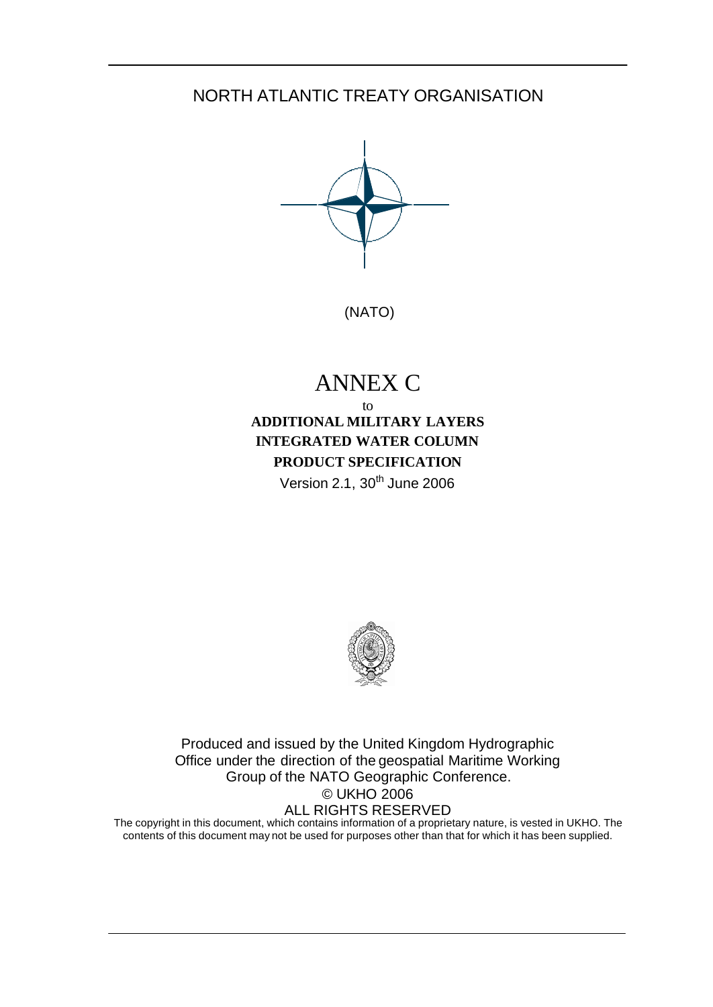# NORTH ATLANTIC TREATY ORGANISATION



(NATO)

# ANNEX C

## to **ADDITIONAL MILITARY LAYERS INTEGRATED WATER COLUMN PRODUCT SPECIFICATION** Version 2.1,  $30<sup>th</sup>$  June 2006



Produced and issued by the United Kingdom Hydrographic Office under the direction of the geospatial Maritime Working Group of the NATO Geographic Conference. © UKHO 2006 ALL RIGHTS RESERVED

The copyright in this document, which contains information of a proprietary nature, is vested in UKHO. The contents of this document may not be used for purposes other than that for which it has been supplied.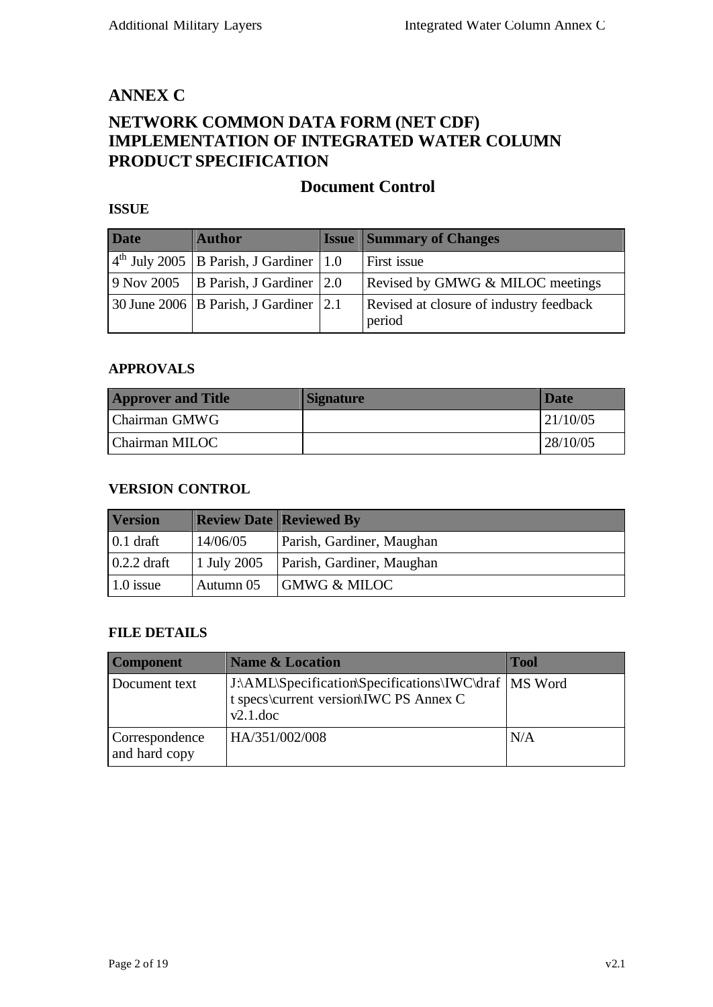## **ANNEX C**

# **NETWORK COMMON DATA FORM (NET CDF) IMPLEMENTATION OF INTEGRATED WATER COLUMN PRODUCT SPECIFICATION**

## **Document Control**

### **ISSUE**

| <b>Date</b> | <b>Author</b>                                   | <b>Issue Summary of Changes</b>                   |
|-------------|-------------------------------------------------|---------------------------------------------------|
|             | $4th$ July 2005   B Parish, J Gardiner   1.0    | First issue                                       |
|             | 9 Nov 2005 B Parish, J Gardiner $ 2.0$          | Revised by GMWG & MILOC meetings                  |
|             | 30 June 2006   B Parish, J Gardiner $\vert$ 2.1 | Revised at closure of industry feedback<br>period |

#### **APPROVALS**

| <b>Approver and Title</b> | <b>Signature</b> | Date     |
|---------------------------|------------------|----------|
| Chairman GMWG             |                  | 21/10/05 |
| Chairman MILOC            |                  | 28/10/05 |

#### **VERSION CONTROL**

| <b>Version</b>    |             | <b>Review Date   Reviewed By</b> |  |
|-------------------|-------------|----------------------------------|--|
| $0.1$ draft       | 14/06/05    | Parish, Gardiner, Maughan        |  |
| $0.2.2$ draft     | 1 July 2005 | Parish, Gardiner, Maughan        |  |
| $\vert$ 1.0 issue | Autumn 05   | <b>GMWG &amp; MILOC</b>          |  |

#### **FILE DETAILS**

| <b>Component</b>                | <b>Name &amp; Location</b>                                                                                      | <b>Tool</b> |
|---------------------------------|-----------------------------------------------------------------------------------------------------------------|-------------|
| Document text                   | J.\AML\Specification\Specifications\IWC\draf   MS Word<br>t specs\current version\IWC PS Annex C<br>$v2.1$ .doc |             |
| Correspondence<br>and hard copy | HA/351/002/008                                                                                                  | N/A         |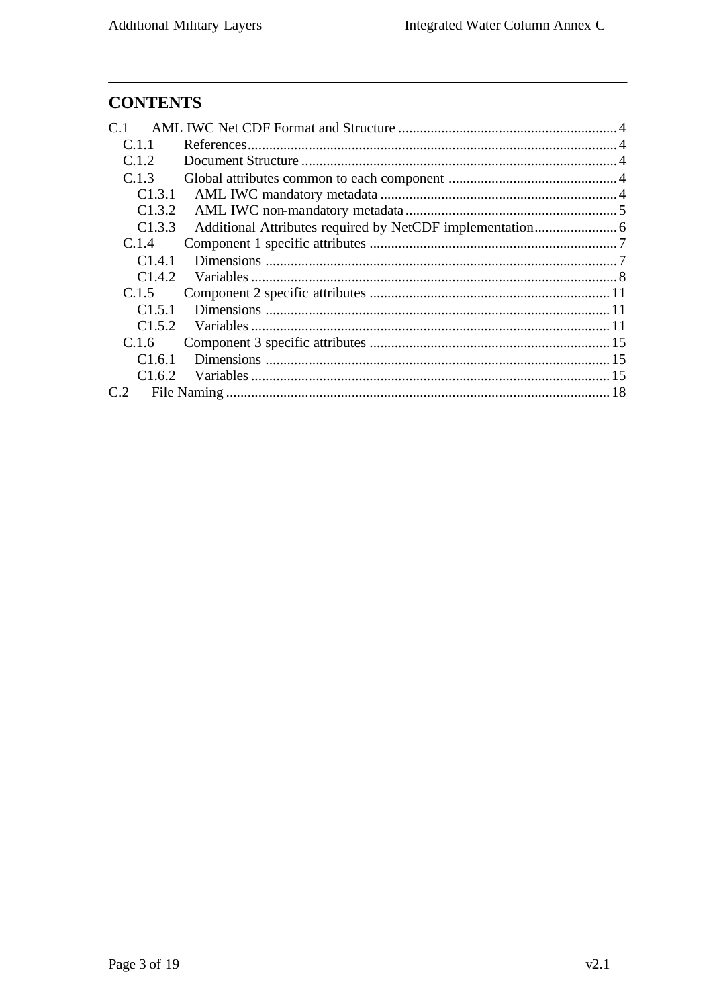# **CONTENTS**

| C <sub>1.1</sub> |  |
|------------------|--|
| C.1.2            |  |
| C.1.3            |  |
| C1.3.1           |  |
| C1.3.2           |  |
| C1.3.3           |  |
| C.1.4            |  |
| C1.4.1           |  |
| C1.4.2           |  |
| C.1.5            |  |
| C1.5.1           |  |
| C1.5.2           |  |
| C.1.6            |  |
| C1.6.1           |  |
| C1.6.2           |  |
| C.2              |  |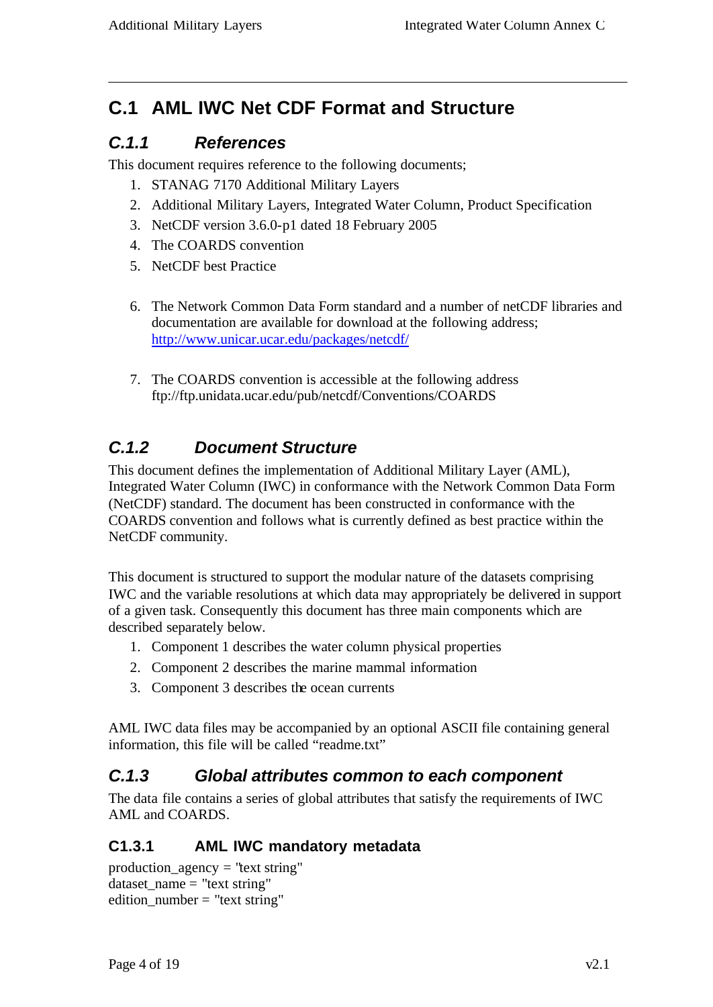# **C.1 AML IWC Net CDF Format and Structure**

# *C.1.1 References*

This document requires reference to the following documents;

- 1. STANAG 7170 Additional Military Layers
- 2. Additional Military Layers, Integrated Water Column, Product Specification
- 3. NetCDF version 3.6.0-p1 dated 18 February 2005
- 4. The COARDS convention
- 5. NetCDF best Practice
- 6. The Network Common Data Form standard and a number of netCDF libraries and documentation are available for download at the following address; http://www.unicar.ucar.edu/packages/netcdf/
- 7. The COARDS convention is accessible at the following address ftp://ftp.unidata.ucar.edu/pub/netcdf/Conventions/COARDS

# *C.1.2 Document Structure*

This document defines the implementation of Additional Military Layer (AML), Integrated Water Column (IWC) in conformance with the Network Common Data Form (NetCDF) standard. The document has been constructed in conformance with the COARDS convention and follows what is currently defined as best practice within the NetCDF community.

This document is structured to support the modular nature of the datasets comprising IWC and the variable resolutions at which data may appropriately be delivered in support of a given task. Consequently this document has three main components which are described separately below.

- 1. Component 1 describes the water column physical properties
- 2. Component 2 describes the marine mammal information
- 3. Component 3 describes the ocean currents

AML IWC data files may be accompanied by an optional ASCII file containing general information, this file will be called "readme.txt"

# *C.1.3 Global attributes common to each component*

The data file contains a series of global attributes that satisfy the requirements of IWC AML and COARDS.

# **C1.3.1 AML IWC mandatory metadata**

```
production_agency = "text string"
dataset name = "text string"edition_number = "text string"
```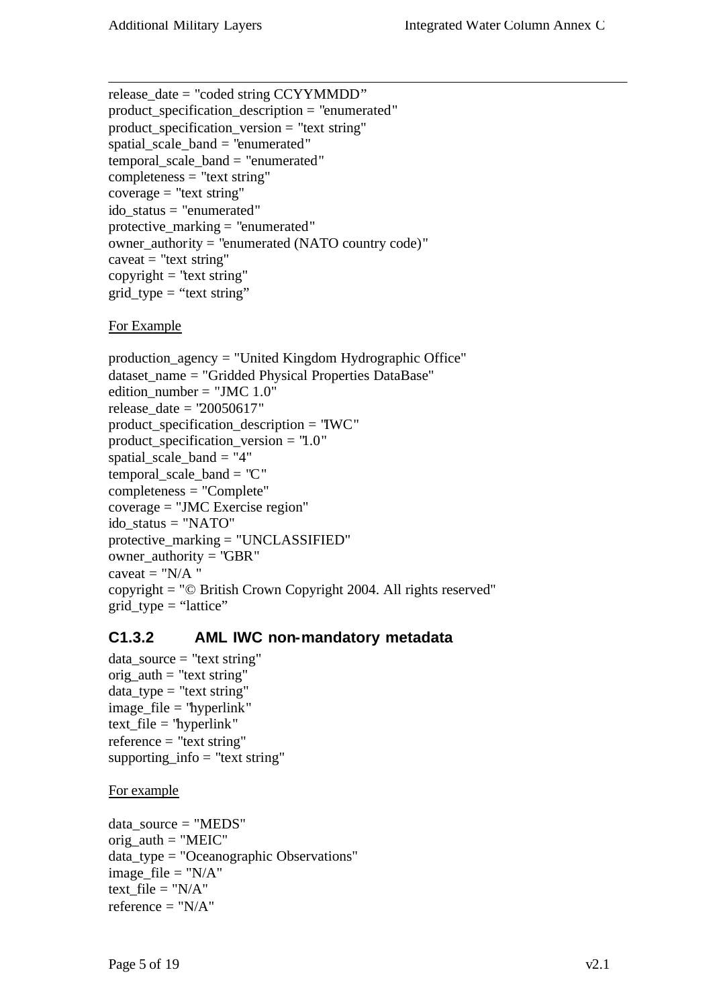```
release_date = "coded string CCYYMMDD"
product_specification_description = "enumerated"
product specification version = "text string"
spatial_scale_band = "enumerated"
temporal_scale_band = "enumerated"
completeness = "text string"coverage = "text string"
ido_status = "enumerated"
protective_marking = "enumerated"
owner_authority = "enumerated (NATO country code)"
caveat = "text string"copyright = "text string"grid\_type = "text string"
```
### For Example

```
production_agency = "United Kingdom Hydrographic Office"
dataset_name = "Gridded Physical Properties DataBase"
edition_number = "JMC 1.0"release date = "20050617"product_specification_description = "IWC"
product_specification_version = "1.0"
spatial scale band = "4"temporal_scale_band = "C"
completeness = "Complete"
coverage = "JMC Exercise region"
ido_status = "NATO"
protective_marking = "UNCLASSIFIED"
owner \text{authority} = \text{"GBR"}caveat = "N/A"copyright = "© British Crown Copyright 2004. All rights reserved"
grid_type = "lattice"
```
## **C1.3.2 AML IWC non-mandatory metadata**

data\_source = "text string"  $orig\_auth = "text string"$ data\_type = "text string" image  $file = "hyperlink"$  $text$ \_file = "hyperlink"  $reference = "text string"$ supporting\_info = "text string"

#### For example

data\_source = "MEDS"  $orig\_auth = "MEIC"$ data\_type = "Oceanographic Observations" image  $file = "N/A"$ text  $file = "N/A"$ reference  $=$  "N/A"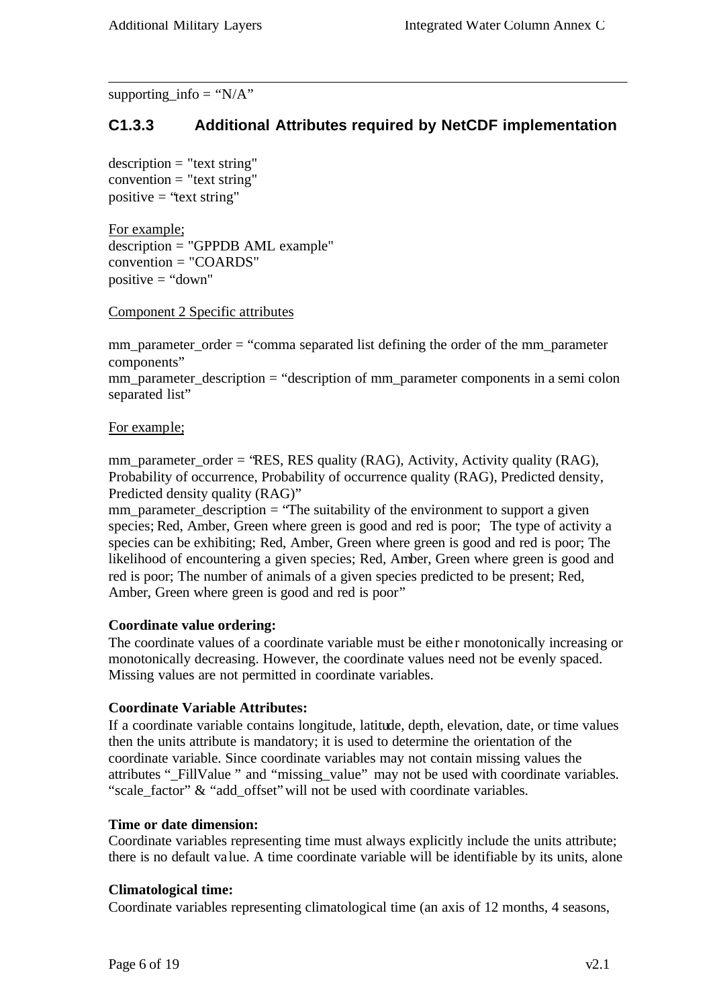supporting\_info = " $N/A$ "

## **C1.3.3 Additional Attributes required by NetCDF implementation**

 $description = "text string"$  $convention = "text string"$ positive  $=$  "text string"

For example; description = "GPPDB AML example" convention = "COARDS" positive  $=$  "down"

Component 2 Specific attributes

mm\_parameter\_order = "comma separated list defining the order of the mm\_parameter components"

mm\_parameter\_description = "description of mm\_parameter components in a semi colon separated list"

#### For example;

mm\_parameter\_order = 'RES, RES quality (RAG), Activity, Activity quality (RAG), Probability of occurrence, Probability of occurrence quality (RAG), Predicted density, Predicted density quality (RAG)"

 $mm$ -parameter\_description = "The suitability of the environment to support a given species; Red, Amber, Green where green is good and red is poor; The type of activity a species can be exhibiting; Red, Amber, Green where green is good and red is poor; The likelihood of encountering a given species; Red, Amber, Green where green is good and red is poor; The number of animals of a given species predicted to be present; Red, Amber, Green where green is good and red is poor"

#### **Coordinate value ordering:**

The coordinate values of a coordinate variable must be either monotonically increasing or monotonically decreasing. However, the coordinate values need not be evenly spaced. Missing values are not permitted in coordinate variables.

#### **Coordinate Variable Attributes:**

If a coordinate variable contains longitude, latitude, depth, elevation, date, or time values then the units attribute is mandatory; it is used to determine the orientation of the coordinate variable. Since coordinate variables may not contain missing values the attributes " FillValue " and "missing value" may not be used with coordinate variables. "scale factor" & "add offset" will not be used with coordinate variables.

#### **Time or date dimension:**

Coordinate variables representing time must always explicitly include the units attribute; there is no default value. A time coordinate variable will be identifiable by its units, alone

#### **Climatological time:**

Coordinate variables representing climatological time (an axis of 12 months, 4 seasons,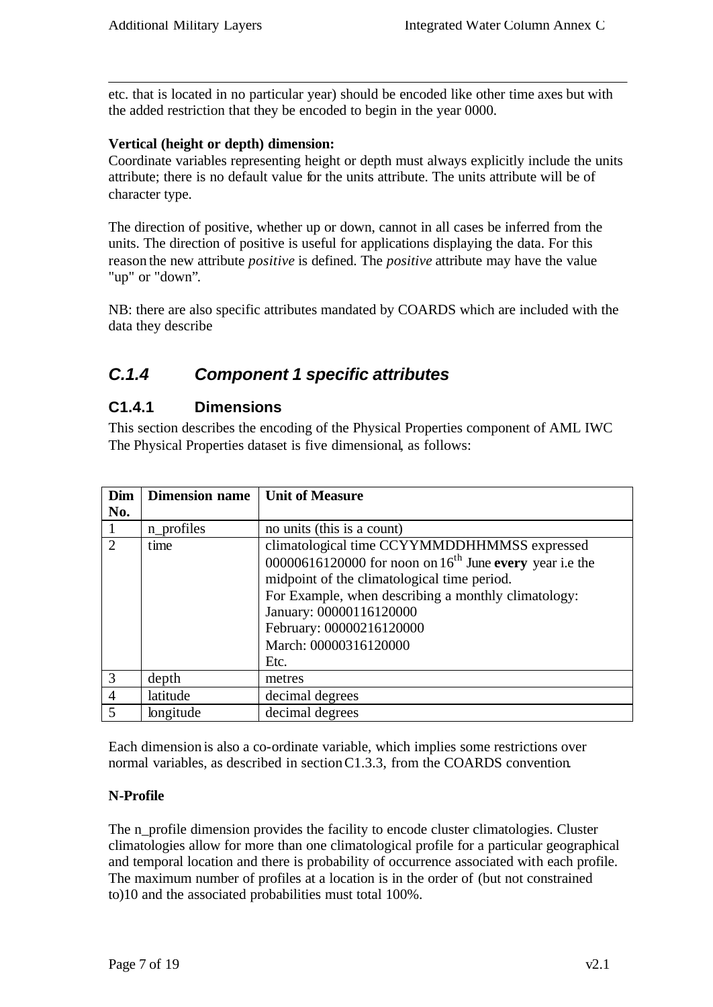etc. that is located in no particular year) should be encoded like other time axes but with the added restriction that they be encoded to begin in the year 0000.

#### **Vertical (height or depth) dimension:**

Coordinate variables representing height or depth must always explicitly include the units attribute; there is no default value for the units attribute. The units attribute will be of character type.

The direction of positive, whether up or down, cannot in all cases be inferred from the units. The direction of positive is useful for applications displaying the data. For this reason the new attribute *positive* is defined. The *positive* attribute may have the value "up" or "down".

NB: there are also specific attributes mandated by COARDS which are included with the data they describe

# *C.1.4 Component 1 specific attributes*

## **C1.4.1 Dimensions**

This section describes the encoding of the Physical Properties component of AML IWC The Physical Properties dataset is five dimensional, as follows:

| Dim                     | <b>Dimension name</b> | <b>Unit of Measure</b>                                    |
|-------------------------|-----------------------|-----------------------------------------------------------|
| No.                     |                       |                                                           |
|                         | n_profiles            | no units (this is a count)                                |
| 2                       | time                  | climatological time CCYYMMDDHHMMSS expressed              |
|                         |                       | 00000616120000 for noon on $16th$ June every year i.e the |
|                         |                       | midpoint of the climatological time period.               |
|                         |                       | For Example, when describing a monthly climatology:       |
|                         |                       | January: 00000116120000                                   |
|                         |                       | February: 00000216120000                                  |
|                         |                       | March: 00000316120000                                     |
|                         |                       | Etc.                                                      |
| 3                       | depth                 | metres                                                    |
| $\overline{4}$          | latitude              | decimal degrees                                           |
| $\overline{\mathbf{z}}$ | longitude             | decimal degrees                                           |

Each dimension is also a co-ordinate variable, which implies some restrictions over normal variables, as described in sectionC1.3.3, from the COARDS convention.

#### **N-Profile**

The n\_profile dimension provides the facility to encode cluster climatologies. Cluster climatologies allow for more than one climatological profile for a particular geographical and temporal location and there is probability of occurrence associated with each profile. The maximum number of profiles at a location is in the order of (but not constrained to)10 and the associated probabilities must total 100%.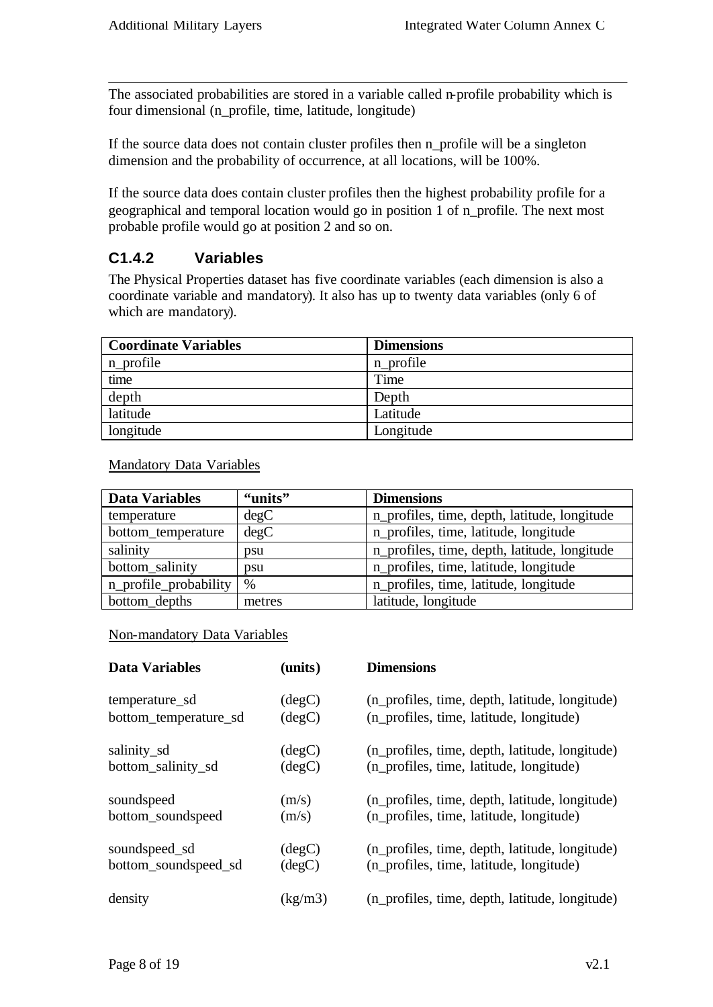The associated probabilities are stored in a variable called n-profile probability which is four dimensional (n\_profile, time, latitude, longitude)

If the source data does not contain cluster profiles then n\_profile will be a singleton dimension and the probability of occurrence, at all locations, will be 100%.

If the source data does contain cluster profiles then the highest probability profile for a geographical and temporal location would go in position 1 of n\_profile. The next most probable profile would go at position 2 and so on.

## **C1.4.2 Variables**

The Physical Properties dataset has five coordinate variables (each dimension is also a coordinate variable and mandatory). It also has up to twenty data variables (only 6 of which are mandatory).

| <b>Coordinate Variables</b> | <b>Dimensions</b> |
|-----------------------------|-------------------|
| n_profile                   | n profile         |
| time                        | Time              |
| depth                       | Depth             |
| latitude                    | Latitude          |
| longitude                   | Longitude         |

Mandatory Data Variables

| <b>Data Variables</b> | "units" | <b>Dimensions</b>                            |
|-----------------------|---------|----------------------------------------------|
| temperature           | degC    | n_profiles, time, depth, latitude, longitude |
| bottom_temperature    | degC    | n_profiles, time, latitude, longitude        |
| salinity              | psu     | n_profiles, time, depth, latitude, longitude |
| bottom_salinity       | psu     | n_profiles, time, latitude, longitude        |
| n_profile_probability | $\%$    | n_profiles, time, latitude, longitude        |
| bottom_depths         | metres  | latitude, longitude                          |

#### Non-mandatory Data Variables

| <b>Data Variables</b> | (units)         | <b>Dimensions</b>                              |
|-----------------------|-----------------|------------------------------------------------|
| temperature_sd        | degC)           | (n_profiles, time, depth, latitude, longitude) |
| bottom_temperature_sd | $(\text{deg}C)$ | (n_profiles, time, latitude, longitude)        |
| salinity_sd           | $(\text{deg}C)$ | (n_profiles, time, depth, latitude, longitude) |
| bottom_salinity_sd    | $(\text{deg}C)$ | (n_profiles, time, latitude, longitude)        |
| soundspeed            | (m/s)           | (n_profiles, time, depth, latitude, longitude) |
| bottom_soundspeed     | (m/s)           | (n_profiles, time, latitude, longitude)        |
| soundspeed_sd         | degC)           | (n_profiles, time, depth, latitude, longitude) |
| bottom_soundspeed_sd  | $(\text{deg}C)$ | (n_profiles, time, latitude, longitude)        |
| density               | (kg/m3)         | (n_profiles, time, depth, latitude, longitude) |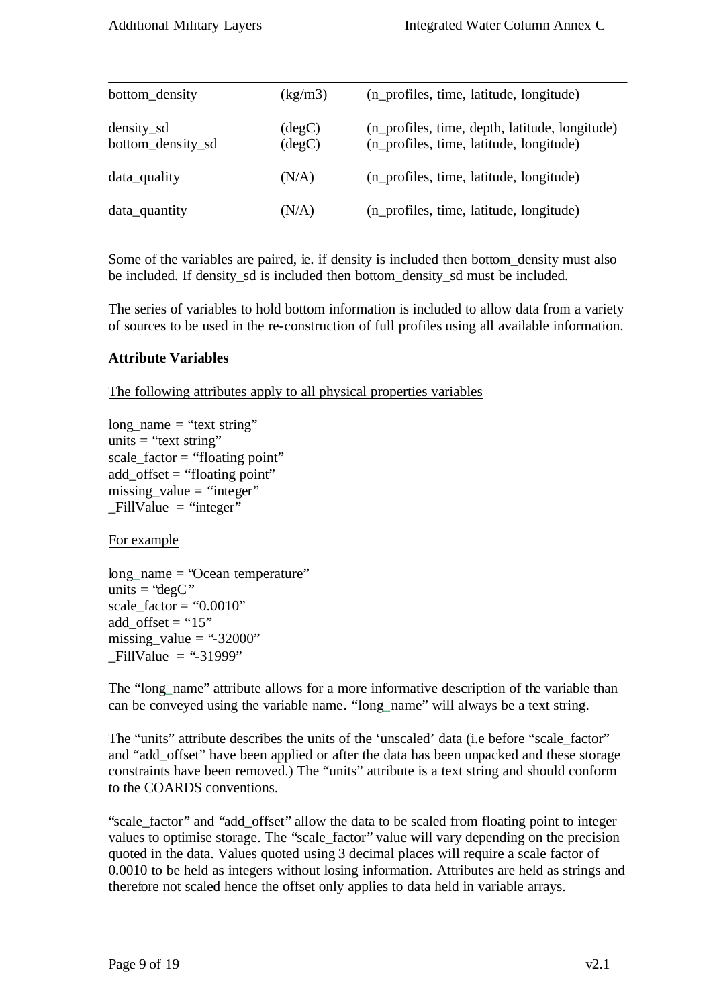| bottom_density                  | (kg/m3)                            | (n_profiles, time, latitude, longitude)                                                   |
|---------------------------------|------------------------------------|-------------------------------------------------------------------------------------------|
| density_sd<br>bottom_density_sd | $(\text{degC})$<br>$(\text{deg}C)$ | (n_profiles, time, depth, latitude, longitude)<br>(n_profiles, time, latitude, longitude) |
| data_quality                    | (N/A)                              | (n_profiles, time, latitude, longitude)                                                   |
| data_quantity                   | (N/A)                              | (n_profiles, time, latitude, longitude)                                                   |

Some of the variables are paired, ie. if density is included then bottom\_density must also be included. If density\_sd is included then bottom\_density\_sd must be included.

The series of variables to hold bottom information is included to allow data from a variety of sources to be used in the re-construction of full profiles using all available information.

#### **Attribute Variables**

The following attributes apply to all physical properties variables

```
long_name = "text string"units = "text string"
scale_factor = "floating point"
add_offset = "floating point"
missing value = "integer"
FillValue = "integer"
```
For example

long\_name = "Ocean temperature" units  $=$  "degC" scale\_factor = "0.0010" add offset = " $15"$ " missing value  $=$  "-32000"  $FillValue = "31999"$ 

The "long\_name" attribute allows for a more informative description of the variable than can be conveyed using the variable name. "long\_name" will always be a text string.

The "units" attribute describes the units of the 'unscaled' data (i.e before "scale\_factor" and "add\_offset" have been applied or after the data has been unpacked and these storage constraints have been removed.) The "units" attribute is a text string and should conform to the COARDS conventions.

"scale factor" and "add offset" allow the data to be scaled from floating point to integer values to optimise storage. The "scale\_factor" value will vary depending on the precision quoted in the data. Values quoted using 3 decimal places will require a scale factor of 0.0010 to be held as integers without losing information. Attributes are held as strings and therefore not scaled hence the offset only applies to data held in variable arrays.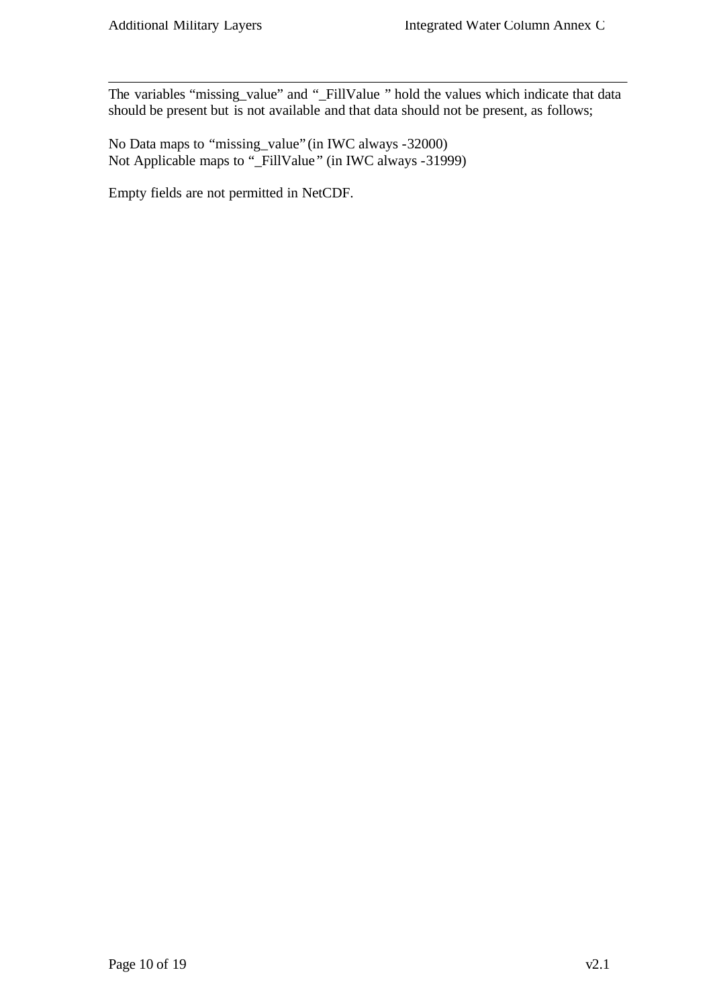The variables "missing\_value" and "\_FillValue " hold the values which indicate that data should be present but is not available and that data should not be present, as follows;

No Data maps to "missing\_value" (in IWC always -32000) Not Applicable maps to "\_FillValue " (in IWC always -31999)

Empty fields are not permitted in NetCDF.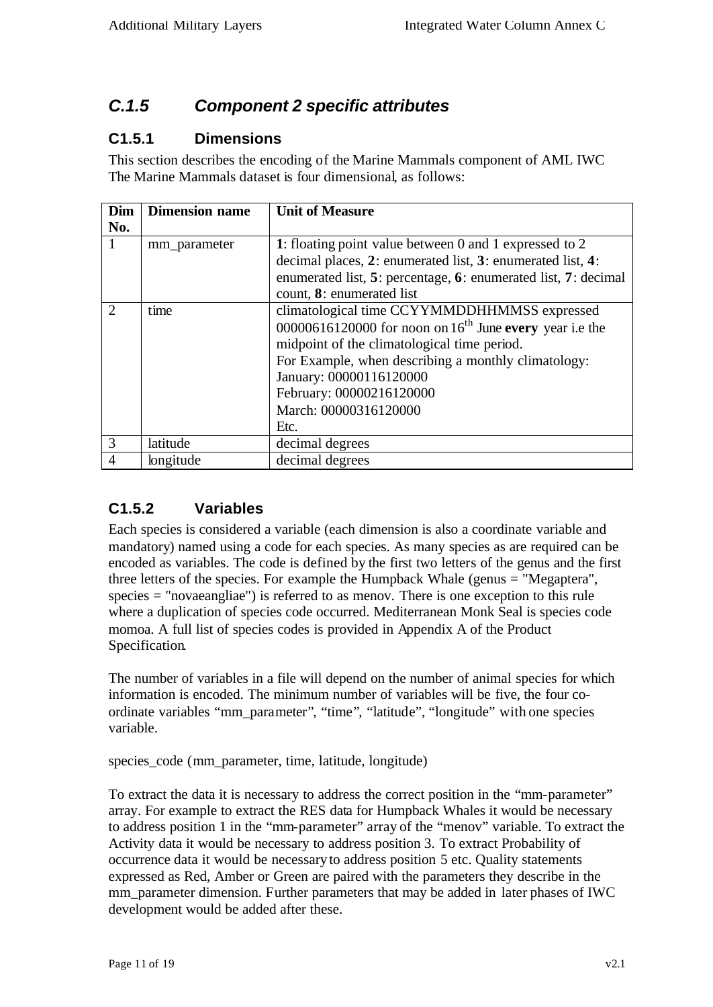# *C.1.5 Component 2 specific attributes*

## **C1.5.1 Dimensions**

This section describes the encoding of the Marine Mammals component of AML IWC The Marine Mammals dataset is four dimensional, as follows:

| Dim                         | <b>Dimension name</b> | <b>Unit of Measure</b>                                         |
|-----------------------------|-----------------------|----------------------------------------------------------------|
| No.                         |                       |                                                                |
|                             | mm_parameter          | 1: floating point value between 0 and 1 expressed to 2         |
|                             |                       | decimal places, 2: enumerated list, 3: enumerated list, 4:     |
|                             |                       | enumerated list, 5: percentage, 6: enumerated list, 7: decimal |
|                             |                       | count, 8: enumerated list                                      |
| $\mathcal{D}_{\mathcal{L}}$ | time                  | climatological time CCYYMMDDHHMMSS expressed                   |
|                             |                       | 00000616120000 for noon on $16th$ June every year i.e the      |
|                             |                       | midpoint of the climatological time period.                    |
|                             |                       | For Example, when describing a monthly climatology:            |
|                             |                       | January: 00000116120000                                        |
|                             |                       | February: 00000216120000                                       |
|                             |                       | March: 00000316120000                                          |
|                             |                       | Etc.                                                           |
| 3                           | latitude              | decimal degrees                                                |
| $\overline{4}$              | longitude             | decimal degrees                                                |

## **C1.5.2 Variables**

Each species is considered a variable (each dimension is also a coordinate variable and mandatory) named using a code for each species. As many species as are required can be encoded as variables. The code is defined by the first two letters of the genus and the first three letters of the species. For example the Humpback Whale (genus = "Megaptera", species = "novaeangliae") is referred to as menov. There is one exception to this rule where a duplication of species code occurred. Mediterranean Monk Seal is species code momoa. A full list of species codes is provided in Appendix A of the Product Specification.

The number of variables in a file will depend on the number of animal species for which information is encoded. The minimum number of variables will be five, the four coordinate variables "mm\_parameter", "time", "latitude", "longitude" with one species variable.

species\_code (mm\_parameter, time, latitude, longitude)

To extract the data it is necessary to address the correct position in the "mm-parameter" array. For example to extract the RES data for Humpback Whales it would be necessary to address position 1 in the "mm-parameter" array of the "menov" variable. To extract the Activity data it would be necessary to address position 3. To extract Probability of occurrence data it would be necessary to address position 5 etc. Quality statements expressed as Red, Amber or Green are paired with the parameters they describe in the mm\_parameter dimension. Further parameters that may be added in later phases of IWC development would be added after these.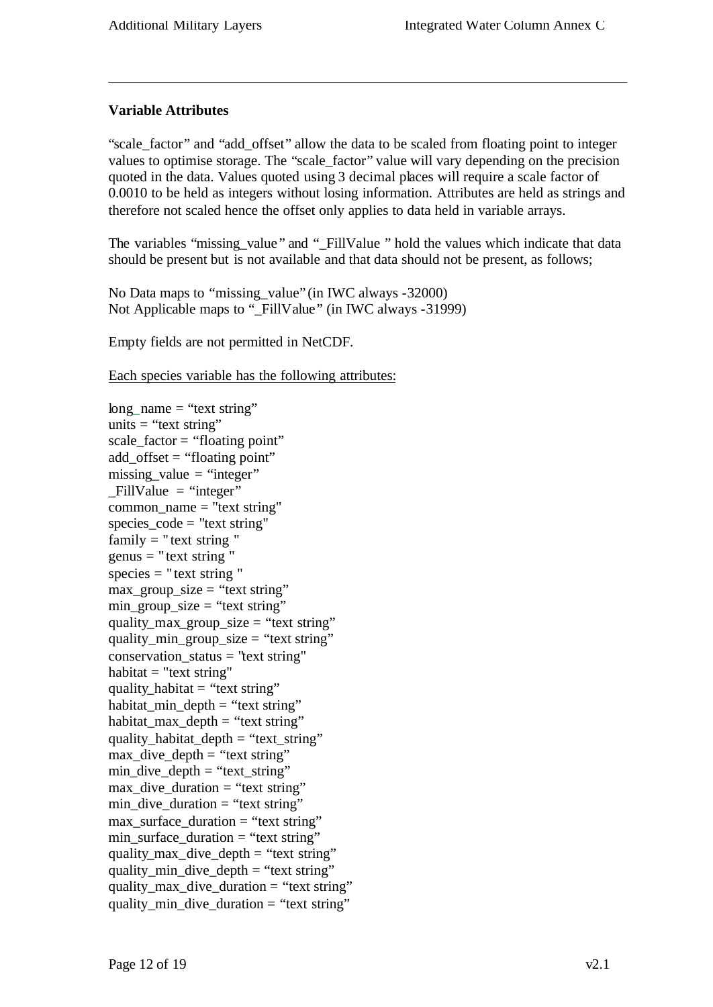### **Variable Attributes**

"scale\_factor" and "add\_offset" allow the data to be scaled from floating point to integer values to optimise storage. The "scale\_factor" value will vary depending on the precision quoted in the data. Values quoted using 3 decimal places will require a scale factor of 0.0010 to be held as integers without losing information. Attributes are held as strings and therefore not scaled hence the offset only applies to data held in variable arrays.

The variables "missing value" and " FillValue " hold the values which indicate that data should be present but is not available and that data should not be present, as follows;

No Data maps to "missing\_value" (in IWC always -32000) Not Applicable maps to "\_FillValue" (in IWC always -31999)

Empty fields are not permitted in NetCDF.

Each species variable has the following attributes:

long name  $=$  "text string" units  $=$  "text string" scale\_factor = "floating point" add\_offset = "floating point"  $missing_value = "integer"$  $FillValue = "integer"$ common  $name = "text string"$ species\_code = "text string" family  $=$  " text string "  $genus = "text string"$  $species = "text string"$  $max_{g}roup\_size = "text string"$  $min\_group\_size = "text string"$ quality max group size = "text string" quality\_min\_group\_size = "text string"  $conservation\_status = "text string"$ habitat  $=$  "text string" quality\_habitat  $=$  "text string" habitat\_min\_depth = "text string" habitat\_max\_depth = "text string" quality\_habitat\_depth = "text\_string" max dive  $depth = "text string"$  $min\_dive\_depth = "text\_string"$ max dive duration  $=$  "text string"  $min\_dive\_duration = "text string"$ max surface duration  $=$  "text string"  $min\_surface\_duration = "text string"$ quality\_max\_dive\_depth = "text string" quality min dive depth = "text string" quality\_max\_dive\_duration = "text string" quality min dive duration  $=$  "text string"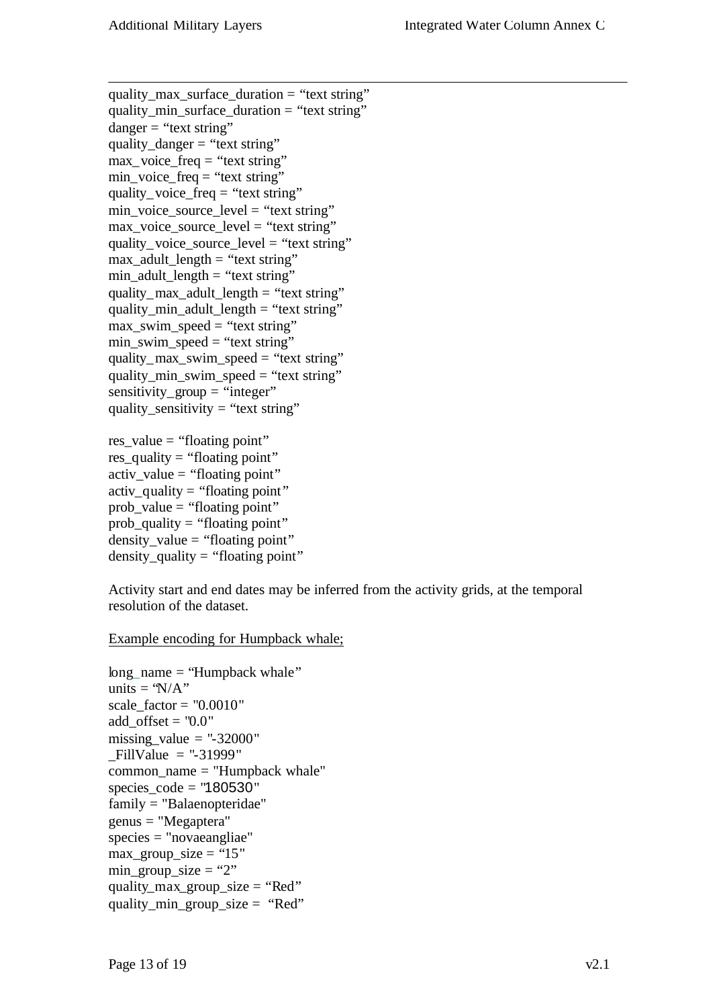quality\_max\_surface\_duration = "text string" quality\_min\_surface\_duration = "text string"  $danger = "text string"$ quality\_danger = "text string"  $max\_voice\_freq = "text string"$ min\_voice\_freq = "text string" quality\_voice\_freq = "text string" min\_voice\_source\_level = "text string" max\_voice\_source\_level = "text string" quality voice source  $level = "text string"$  $max\_adult\_length = "text string"$ min\_adult\_length = "text string" quality\_max\_adult\_length = "text string" quality\_min\_adult\_length = "text string" max\_swim\_speed = "text string" min\_swim\_speed = "text string" quality\_max\_swim\_speed = "text string" quality\_min\_swim\_speed = "text string"  $sensitivity\_group = "integer"$ quality\_sensitivity = "text string"

res\_value = "floating point" res\_quality = "floating point"  $\text{active\_value} = \text{``floating point''}$ activ quality  $=$  "floating point" prob\_value = "floating point"  $prob\_quality = "floating point"$  $density_value = "floating point"$  $density_$ quality = "floating point"

Activity start and end dates may be inferred from the activity grids, at the temporal resolution of the dataset.

Example encoding for Humpback whale;

```
long_name = "Humpback whale"
units = 'N/A"
scale_factor = "0.0010"add_offset = "0.0"missing value = "-32000"
_FillValue = "-31999"
common_name = "Humpback whale"
species_code = "180530"
family = "Balaenopteridae"
genus = "Megaptera"
species = "novaeangliae"
max_{g} group_size = "15"
min_group_size = "2"
quality_max_group_size = "Red"
quality_min_group_size = "Red"
```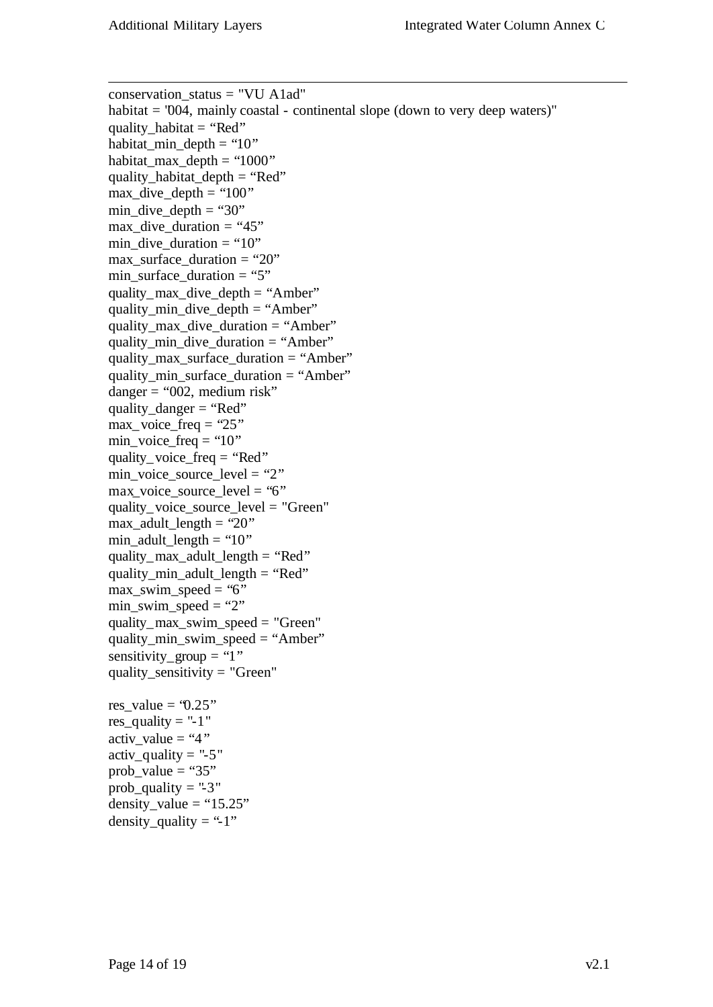conservation\_status = "VU A1ad" habitat = "004, mainly coastal - continental slope (down to very deep waters)" quality habitat  $= "Red"$ habitat\_min\_depth = " $10"$ habitat\_max\_depth = " $1000$ " quality habitat  $depth = "Red"$  $max\_dive\_depth = "100"$ min dive depth  $=$  "30"  $max\_div$ e\_duration = "45"  $min\_dive\_duration = "10"$ max surface duration  $= "20"$ min\_surface\_duration = "5" quality\_max\_dive\_depth = "Amber" quality\_min\_dive\_depth = "Amber" quality max dive duration  $=$  "Amber" quality\_min\_dive\_duration = "Amber" quality\_max\_surface\_duration = "Amber" quality min surface duration  $=$  "Amber"  $dangent = "002$ , medium risk" quality  $dangent = "Red"$  $max\$  voice\_freq = "25" min\_voice\_freq = " $10"$ " quality\_voice\_freq = "Red"  $min\_voice\_source\_level = "2"$ max voice source  $level = "6"$ quality voice source  $level = "Green"$  $max\_adult\_length = "20"$ min\_adult\_length = " $10$ " quality max adult  $length = "Red"$ quality min adult length  $= "Red"$ max swim speed = "6"  $min\_swim\_speed = "2"$ quality max swim speed = "Green" quality\_min\_swim\_speed = "Amber" sensitivity\_group = "1" quality\_sensitivity = "Green" res\_value =  $0.25$ " res\_quality =  $-1$ " activ value  $= "4"$ activ quality  $=$  "-5" prob\_value = " $35"$ prob\_quality = "-3" density\_value = " $15.25$ "

density quality  $=$  "-1"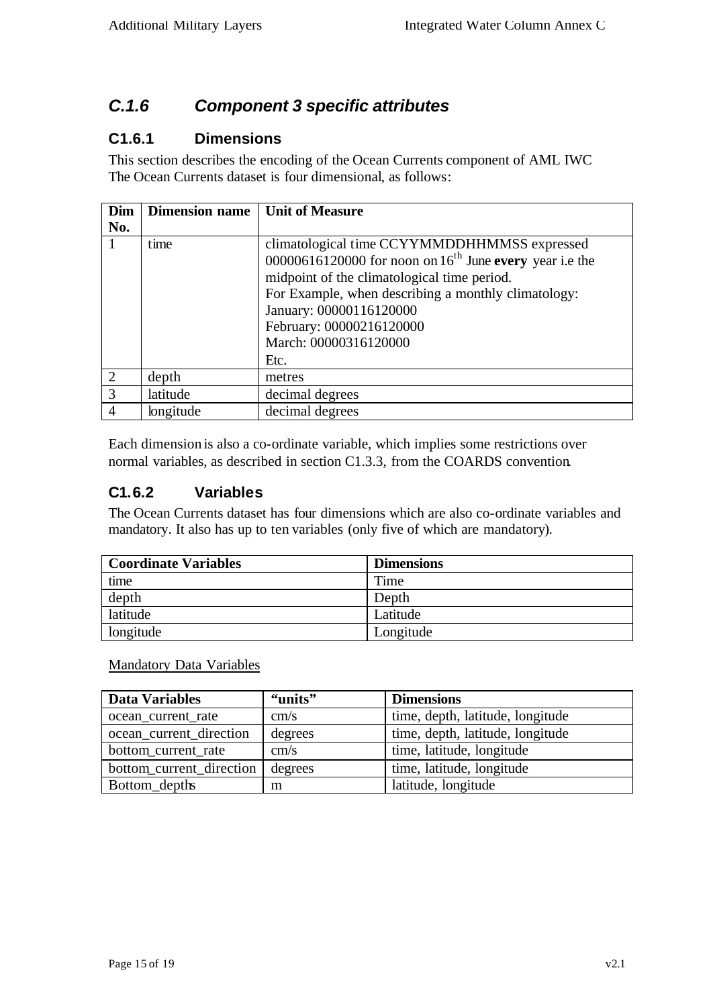# *C.1.6 Component 3 specific attributes*

## **C1.6.1 Dimensions**

This section describes the encoding of the Ocean Currents component of AML IWC The Ocean Currents dataset is four dimensional, as follows:

| Dim            | <b>Dimension name</b> | <b>Unit of Measure</b>                                                                                                                                                                                                                                                                                     |
|----------------|-----------------------|------------------------------------------------------------------------------------------------------------------------------------------------------------------------------------------------------------------------------------------------------------------------------------------------------------|
| No.            |                       |                                                                                                                                                                                                                                                                                                            |
|                | time                  | climatological time CCYYMMDDHHMMSS expressed<br>00000616120000 for noon on $16^{th}$ June every year i.e the<br>midpoint of the climatological time period.<br>For Example, when describing a monthly climatology:<br>January: 00000116120000<br>February: 00000216120000<br>March: 00000316120000<br>Etc. |
| 2              | depth                 | metres                                                                                                                                                                                                                                                                                                     |
| 3              | latitude              | decimal degrees                                                                                                                                                                                                                                                                                            |
| $\overline{4}$ | longitude             | decimal degrees                                                                                                                                                                                                                                                                                            |

Each dimension is also a co-ordinate variable, which implies some restrictions over normal variables, as described in section C1.3.3, from the COARDS convention.

## **C1.6.2 Variables**

The Ocean Currents dataset has four dimensions which are also co-ordinate variables and mandatory. It also has up to ten variables (only five of which are mandatory).

| Coordinate Variables | <b>Dimensions</b> |
|----------------------|-------------------|
| time                 | Time              |
| depth                | Depth             |
| latitude             | Latitude          |
| longitude            | Longitude         |

Mandatory Data Variables

| <b>Data Variables</b>    | "units" | <b>Dimensions</b>                |
|--------------------------|---------|----------------------------------|
| ocean_current_rate       | cm/s    | time, depth, latitude, longitude |
| ocean_current_direction  | degrees | time, depth, latitude, longitude |
| bottom_current_rate      | cm/s    | time, latitude, longitude        |
| bottom_current_direction | degrees | time, latitude, longitude        |
| Bottom_depths            | m       | latitude, longitude              |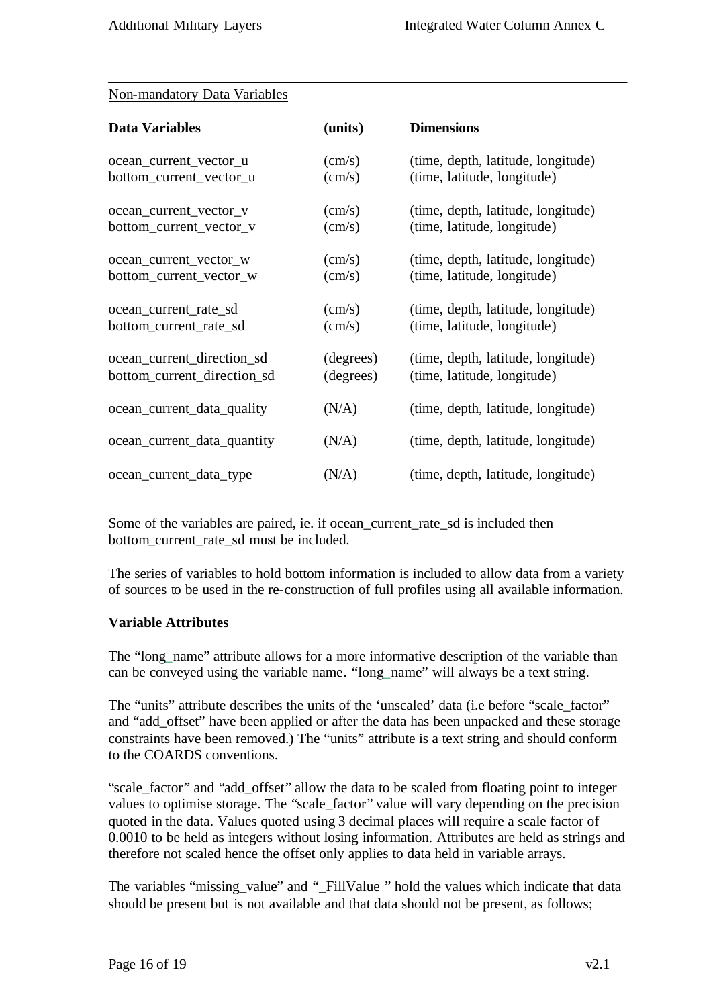### Non-mandatory Data Variables

| <b>Data Variables</b>       | (units)         | <b>Dimensions</b>                  |
|-----------------------------|-----------------|------------------------------------|
| ocean_current_vector_u      | $\text{(cm/s)}$ | (time, depth, latitude, longitude) |
| bottom_current_vector_u     | $\text{(cm/s)}$ | (time, latitude, longitude)        |
| ocean_current_vector_v      | $\text{(cm/s)}$ | (time, depth, latitude, longitude) |
| bottom_current_vector_v     | $\text{(cm/s)}$ | (time, latitude, longitude)        |
| ocean_current_vector_w      | $\text{(cm/s)}$ | (time, depth, latitude, longitude) |
| bottom_current_vector_w     | $\text{cm/s)}$  | (time, latitude, longitude)        |
| ocean_current_rate_sd       | $\text{(cm/s)}$ | (time, depth, latitude, longitude) |
| bottom_current_rate_sd      | $\text{(cm/s)}$ | (time, latitude, longitude)        |
| ocean_current_direction_sd  | (degrees)       | (time, depth, latitude, longitude) |
| bottom_current_direction_sd | (degrees)       | (time, latitude, longitude)        |
| ocean_current_data_quality  | (N/A)           | (time, depth, latitude, longitude) |
| ocean_current_data_quantity | (N/A)           | (time, depth, latitude, longitude) |
| ocean_current_data_type     | (N/A)           | (time, depth, latitude, longitude) |

Some of the variables are paired, ie. if ocean\_current\_rate\_sd is included then bottom current rate sd must be included.

The series of variables to hold bottom information is included to allow data from a variety of sources to be used in the re-construction of full profiles using all available information.

#### **Variable Attributes**

The "long\_name" attribute allows for a more informative description of the variable than can be conveyed using the variable name. "long\_name" will always be a text string.

The "units" attribute describes the units of the 'unscaled' data (i.e before "scale\_factor" and "add\_offset" have been applied or after the data has been unpacked and these storage constraints have been removed.) The "units" attribute is a text string and should conform to the COARDS conventions.

"scale\_factor" and "add\_offset" allow the data to be scaled from floating point to integer values to optimise storage. The "scale\_factor" value will vary depending on the precision quoted in the data. Values quoted using 3 decimal places will require a scale factor of 0.0010 to be held as integers without losing information. Attributes are held as strings and therefore not scaled hence the offset only applies to data held in variable arrays.

The variables "missing\_value" and "\_FillValue " hold the values which indicate that data should be present but is not available and that data should not be present, as follows;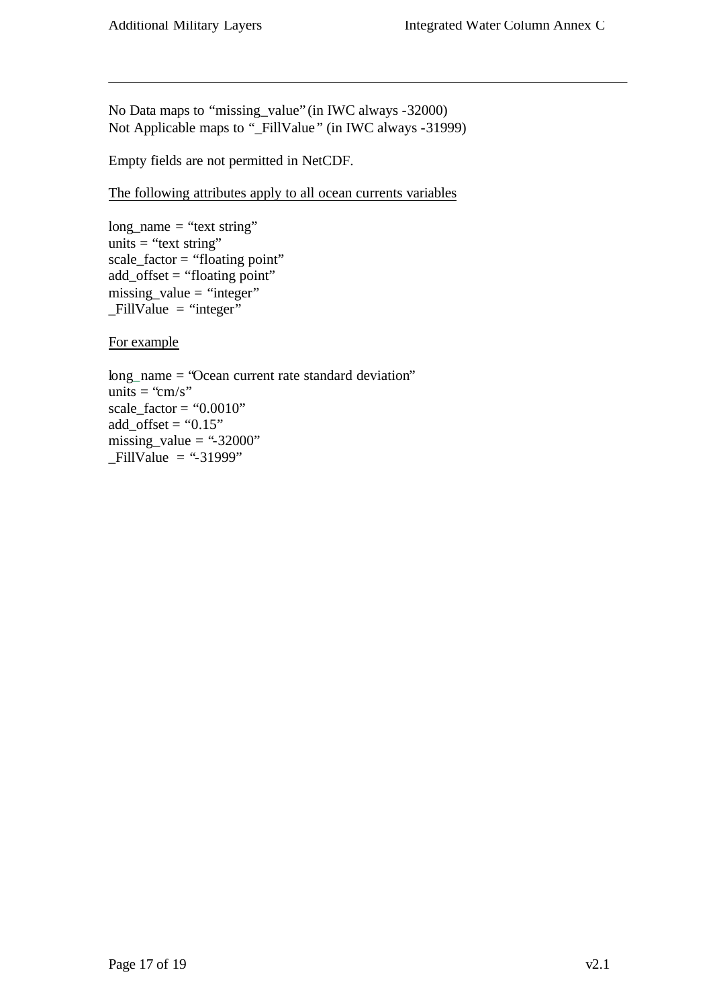No Data maps to "missing\_value" (in IWC always -32000) Not Applicable maps to "\_FillValue " (in IWC always -31999)

Empty fields are not permitted in NetCDF.

The following attributes apply to all ocean currents variables

 $long_name = "text string"$ units  $=$  "text string"  $scale_factor = "floating point"$  $add\_offset = "floating point"$  $missing_value = "integer"$  $-FillValue = "integer"$ 

For example

long\_name = "Ocean current rate standard deviation" units = "cm/s" scale\_factor = " $0.0010$ " add\_offset = " $0.15"$ " missing\_value = "-32000"  $-FillValue = "31999"$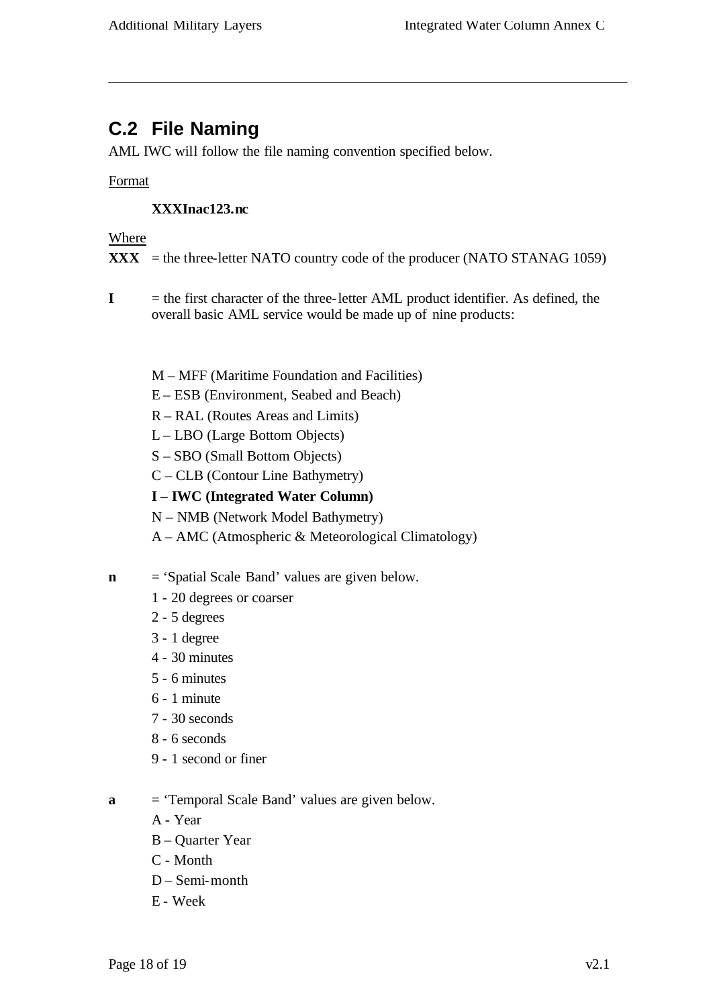# **C.2 File Naming**

AML IWC will follow the file naming convention specified below.

### Format

### **XXXInac123.nc**

#### Where

 $\bf{XXX}$  = the three-letter NATO country code of the producer (NATO STANAG 1059)

- **I** = the first character of the three-letter AML product identifier. As defined, the overall basic AML service would be made up of nine products:
	- M MFF (Maritime Foundation and Facilities)
	- E ESB (Environment, Seabed and Beach)
	- R RAL (Routes Areas and Limits)
	- L LBO (Large Bottom Objects)
	- S SBO (Small Bottom Objects)
	- C CLB (Contour Line Bathymetry)
	- **I IWC (Integrated Water Column)**
	- N NMB (Network Model Bathymetry)
	- A AMC (Atmospheric & Meteorological Climatology)
- **n** = 'Spatial Scale Band' values are given below.
	- 1 20 degrees or coarser
	- 2 5 degrees
	- 3 1 degree
	- 4 30 minutes
	- 5 6 minutes
	- 6 1 minute
	- 7 30 seconds
	- 8 6 seconds
	- 9 1 second or finer
- **a** = 'Temporal Scale Band' values are given below.
	- A Year
	- B Quarter Year
	- C Month
	- D Semi-month
	- E Week